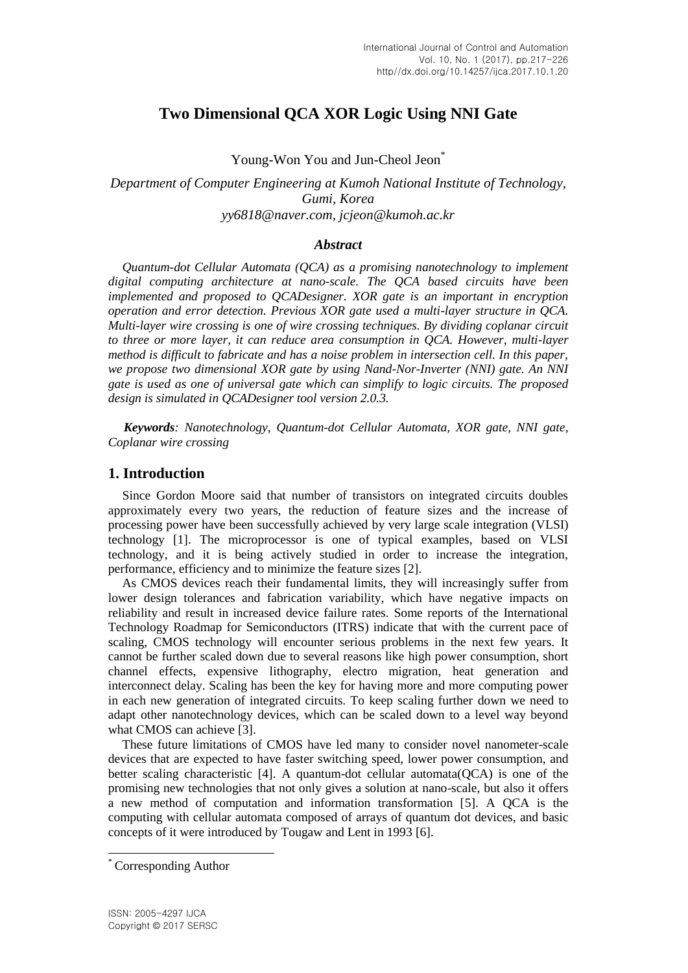# **Two Dimensional QCA XOR Logic Using NNI Gate**

Young-Won You and Jun-Cheol Jeon<sup>\*</sup>

*Department of Computer Engineering at Kumoh National Institute of Technology, Gumi, Korea yy6818@naver.com, jcjeon@kumoh.ac.kr*

### *Abstract*

*Quantum-dot Cellular Automata (QCA) as a promising nanotechnology to implement digital computing architecture at nano-scale. The QCA based circuits have been implemented and proposed to QCADesigner. XOR gate is an important in encryption operation and error detection. Previous XOR gate used a multi-layer structure in QCA. Multi-layer wire crossing is one of wire crossing techniques. By dividing coplanar circuit to three or more layer, it can reduce area consumption in QCA. However, multi-layer method is difficult to fabricate and has a noise problem in intersection cell. In this paper, we propose two dimensional XOR gate by using Nand-Nor-Inverter (NNI) gate. An NNI gate is used as one of universal gate which can simplify to logic circuits. The proposed design is simulated in QCADesigner tool version 2.0.3.*

*Keywords: Nanotechnology, Quantum-dot Cellular Automata, XOR gate, NNI gate, Coplanar wire crossing*

# **1. Introduction**

Since Gordon Moore said that number of transistors on integrated circuits doubles approximately every two years, the reduction of feature sizes and the increase of processing power have been successfully achieved by very large scale integration (VLSI) technology [1]. The microprocessor is one of typical examples, based on VLSI technology, and it is being actively studied in order to increase the integration, performance, efficiency and to minimize the feature sizes [2].

As CMOS devices reach their fundamental limits, they will increasingly suffer from lower design tolerances and fabrication variability, which have negative impacts on reliability and result in increased device failure rates. Some reports of the International Technology Roadmap for Semiconductors (ITRS) indicate that with the current pace of scaling, CMOS technology will encounter serious problems in the next few years. It cannot be further scaled down due to several reasons like high power consumption, short channel effects, expensive lithography, electro migration, heat generation and interconnect delay. Scaling has been the key for having more and more computing power in each new generation of integrated circuits. To keep scaling further down we need to adapt other nanotechnology devices, which can be scaled down to a level way beyond what CMOS can achieve [3].

These future limitations of CMOS have led many to consider novel nanometer-scale devices that are expected to have faster switching speed, lower power consumption, and better scaling characteristic [4]. A quantum-dot cellular automata(QCA) is one of the promising new technologies that not only gives a solution at nano-scale, but also it offers a new method of computation and information transformation [5]. A QCA is the computing with cellular automata composed of arrays of quantum dot devices, and basic concepts of it were introduced by Tougaw and Lent in 1993 [6].

l

Corresponding Author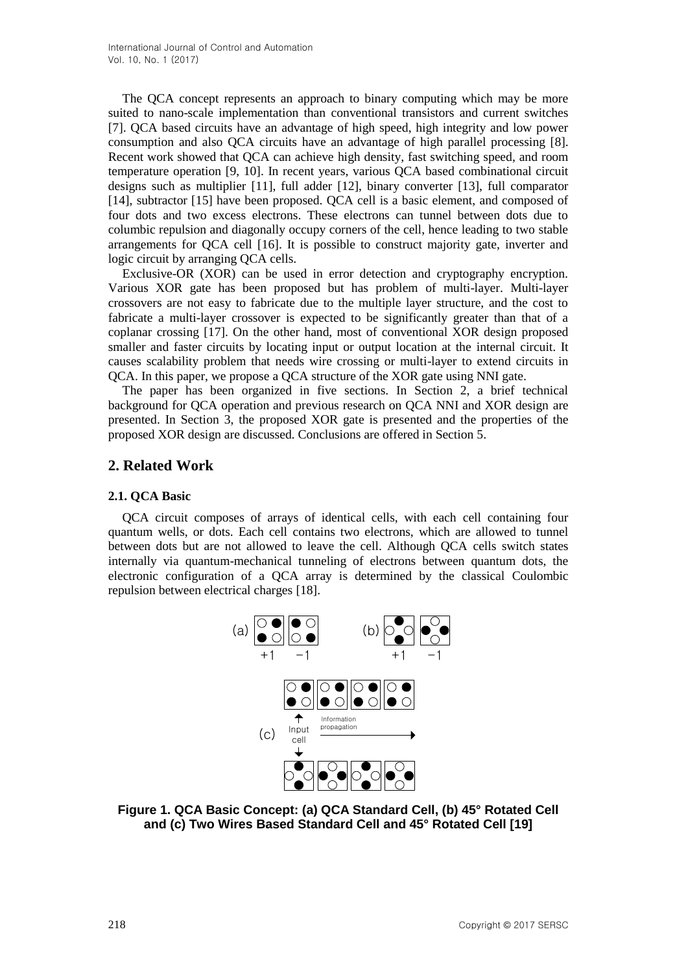The QCA concept represents an approach to binary computing which may be more suited to nano-scale implementation than conventional transistors and current switches [7]. QCA based circuits have an advantage of high speed, high integrity and low power consumption and also QCA circuits have an advantage of high parallel processing [8]. Recent work showed that QCA can achieve high density, fast switching speed, and room temperature operation [9, 10]. In recent years, various QCA based combinational circuit designs such as multiplier [11], full adder [12], binary converter [13], full comparator [14], subtractor [15] have been proposed. QCA cell is a basic element, and composed of four dots and two excess electrons. These electrons can tunnel between dots due to columbic repulsion and diagonally occupy corners of the cell, hence leading to two stable arrangements for QCA cell [16]. It is possible to construct majority gate, inverter and logic circuit by arranging QCA cells.

Exclusive-OR (XOR) can be used in error detection and cryptography encryption. Various XOR gate has been proposed but has problem of multi-layer. Multi-layer crossovers are not easy to fabricate due to the multiple layer structure, and the cost to fabricate a multi-layer crossover is expected to be significantly greater than that of a coplanar crossing [17]. On the other hand, most of conventional XOR design proposed smaller and faster circuits by locating input or output location at the internal circuit. It causes scalability problem that needs wire crossing or multi-layer to extend circuits in QCA. In this paper, we propose a QCA structure of the XOR gate using NNI gate.

The paper has been organized in five sections. In Section 2, a brief technical background for QCA operation and previous research on QCA NNI and XOR design are presented. In Section 3, the proposed XOR gate is presented and the properties of the proposed XOR design are discussed. Conclusions are offered in Section 5.

# **2. Related Work**

#### **2.1. QCA Basic**

QCA circuit composes of arrays of identical cells, with each cell containing four quantum wells, or dots. Each cell contains two electrons, which are allowed to tunnel between dots but are not allowed to leave the cell. Although QCA cells switch states internally via quantum-mechanical tunneling of electrons between quantum dots, the electronic configuration of a QCA array is determined by the classical Coulombic repulsion between electrical charges [18].



**Figure 1. QCA Basic Concept: (a) QCA Standard Cell, (b) 45° Rotated Cell and (c) Two Wires Based Standard Cell and 45° Rotated Cell [19]**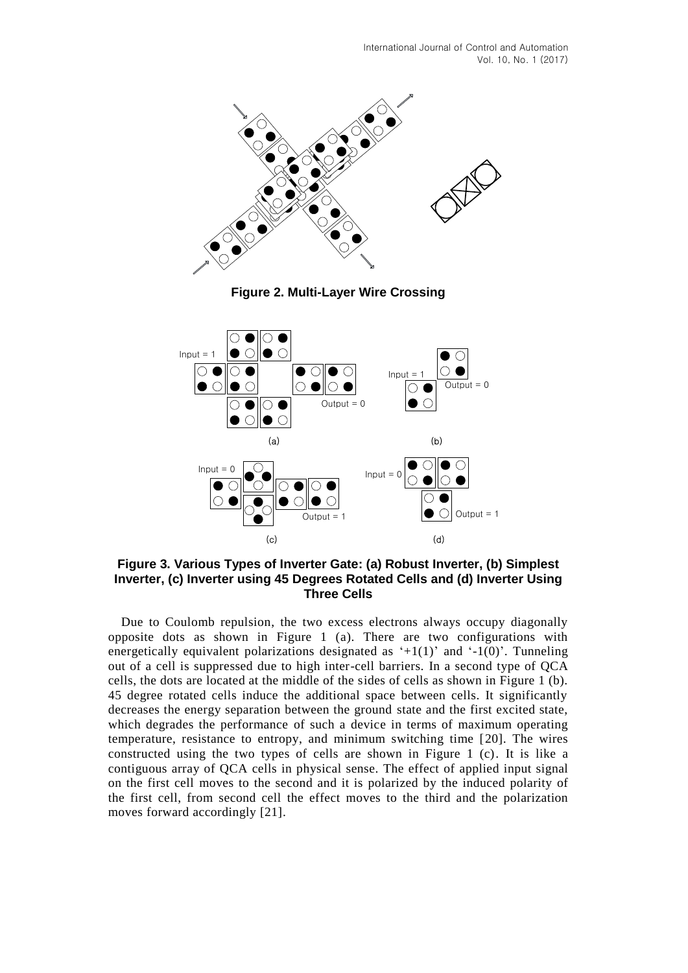

**Figure 2. Multi-Layer Wire Crossing**



**Figure 3. Various Types of Inverter Gate: (a) Robust Inverter, (b) Simplest Inverter, (c) Inverter using 45 Degrees Rotated Cells and (d) Inverter Using Three Cells**

Due to Coulomb repulsion, the two excess electrons always occupy diagonally opposite dots as shown in Figure 1 (a). There are two configurations with energetically equivalent polarizations designated as  $+1(1)$  and  $-1(0)$ . Tunneling out of a cell is suppressed due to high inter-cell barriers. In a second type of QCA cells, the dots are located at the middle of the sides of cells as shown in Figure 1 (b). 45 degree rotated cells induce the additional space between cells. It significantly decreases the energy separation between the ground state and the first excited state, which degrades the performance of such a device in terms of maximum operating temperature, resistance to entropy, and minimum switching time [20]. The wires constructed using the two types of cells are shown in Figure 1 (c). It is like a contiguous array of QCA cells in physical sense. The effect of applied input signal on the first cell moves to the second and it is polarized by the induced polarity of the first cell, from second cell the effect moves to the third and the polarization moves forward accordingly [21].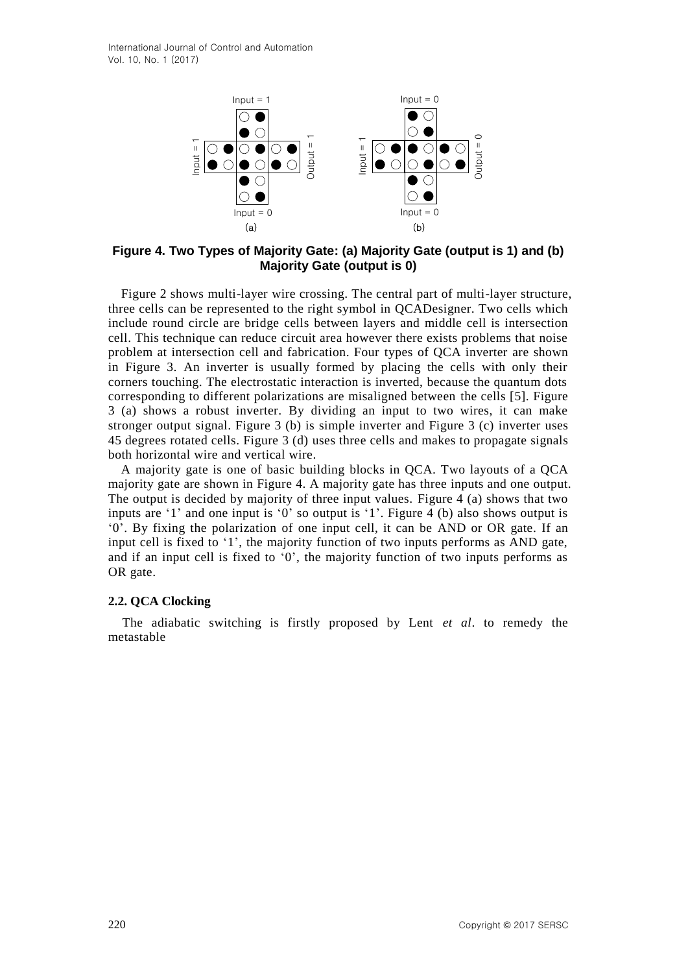

**Figure 4. Two Types of Majority Gate: (a) Majority Gate (output is 1) and (b) Majority Gate (output is 0)** 

Figure 2 shows multi-layer wire crossing. The central part of multi-layer structure, three cells can be represented to the right symbol in QCADesigner. Two cells which include round circle are bridge cells between layers and middle cell is intersection cell. This technique can reduce circuit area however there exists problems that noise problem at intersection cell and fabrication. Four types of QCA inverter are shown in Figure 3. An inverter is usually formed by placing the cells with only their corners touching. The electrostatic interaction is inverted, because the quantum dots corresponding to different polarizations are misaligned between the cells [5]. Figure 3 (a) shows a robust inverter. By dividing an input to two wires, it can make stronger output signal. Figure 3 (b) is simple inverter and Figure 3 (c) inverter uses 45 degrees rotated cells. Figure 3 (d) uses three cells and makes to propagate signals both horizontal wire and vertical wire.

A majority gate is one of basic building blocks in QCA. Two layouts of a QCA majority gate are shown in Figure 4. A majority gate has three inputs and one output. The output is decided by majority of three input values. Figure 4 (a) shows that two inputs are  $'1'$  and one input is  $'0'$  so output is  $'1'$ . Figure 4 (b) also shows output is "0". By fixing the polarization of one input cell, it can be AND or OR gate. If an input cell is fixed to "1", the majority function of two inputs performs as AND gate, and if an input cell is fixed to "0", the majority function of two inputs performs as OR gate.

#### **2.2. QCA Clocking**

The adiabatic switching is firstly proposed by Lent *et al*. to remedy the metastable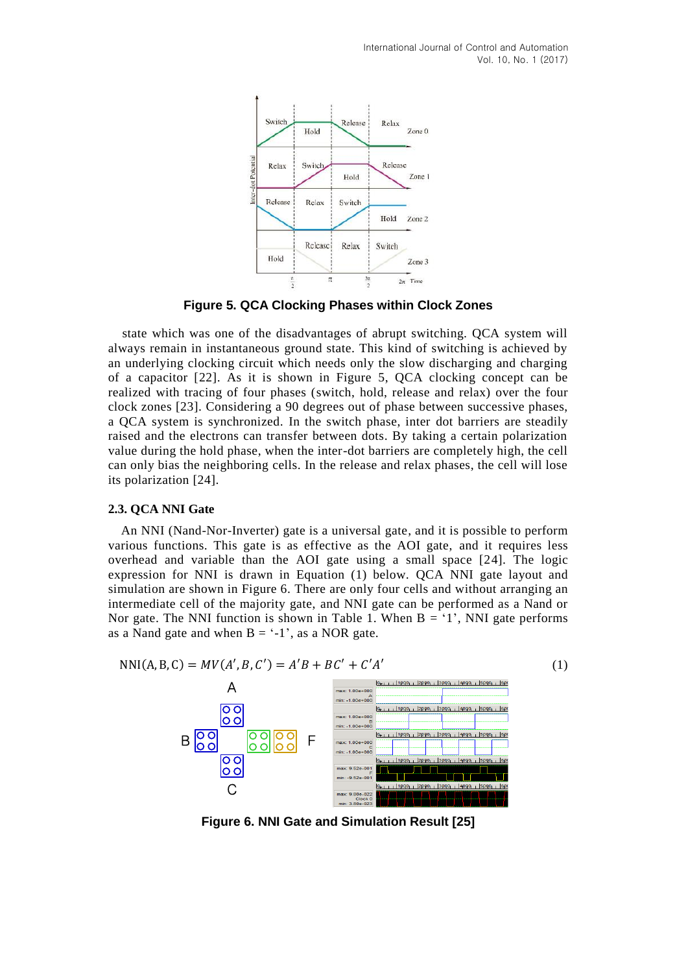

**Figure 5. QCA Clocking Phases within Clock Zones**

state which was one of the disadvantages of abrupt switching. QCA system will always remain in instantaneous ground state. This kind of switching is achieved by an underlying clocking circuit which needs only the slow discharging and charging of a capacitor [22]. As it is shown in Figure 5, QCA clocking concept can be realized with tracing of four phases (switch, hold, release and relax) over the four clock zones [23]. Considering a 90 degrees out of phase between successive phases, a QCA system is synchronized. In the switch phase, inter dot barriers are steadily raised and the electrons can transfer between dots. By taking a certain polarization value during the hold phase, when the inter-dot barriers are completely high, the cell can only bias the neighboring cells. In the release and relax phases, the cell will lose its polarization [24].

#### **2.3. QCA NNI Gate**

An NNI (Nand-Nor-Inverter) gate is a universal gate, and it is possible to perform various functions. This gate is as effective as the AOI gate, and it requires less overhead and variable than the AOI gate using a small space [24]. The logic expression for NNI is drawn in Equation (1) below. QCA NNI gate layout and simulation are shown in Figure 6. There are only four cells and without arranging an intermediate cell of the majority gate, and NNI gate can be performed as a Nand or Nor gate. The NNI function is shown in Table 1. When  $B = '1'$ , NNI gate performs as a Nand gate and when  $B = -1'$ , as a NOR gate.





**Figure 6. NNI Gate and Simulation Result [25]**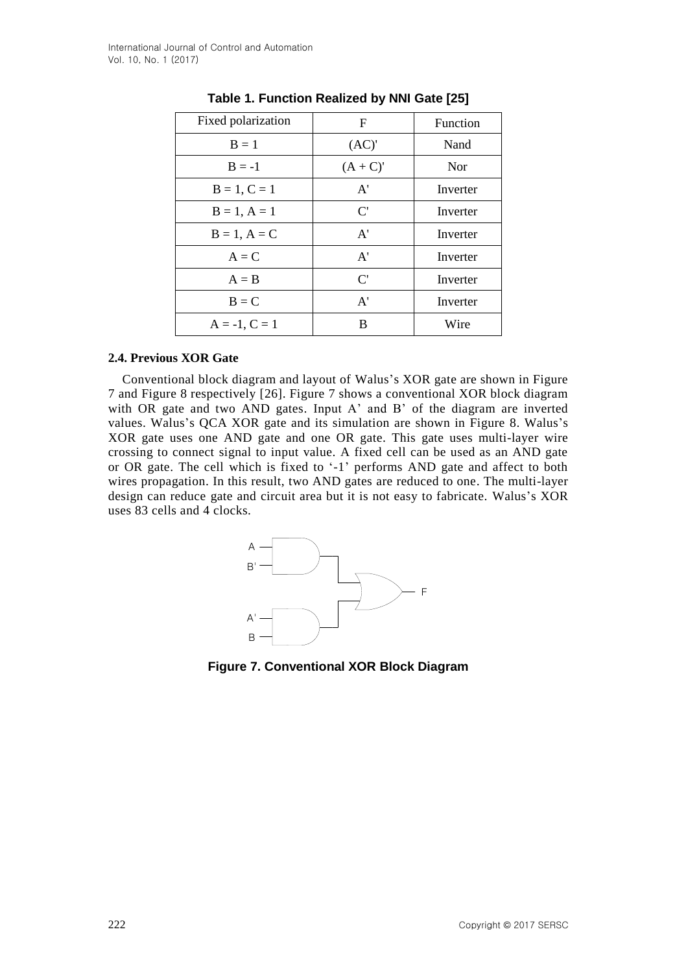| Fixed polarization | F                     | Function |
|--------------------|-----------------------|----------|
| $B = 1$            | (AC)'                 | Nand     |
| $B = -1$           | $(A+C)'$              | Nor      |
| $B = 1, C = 1$     | A'                    | Inverter |
| $B = 1, A = 1$     | $\mathbf{C}^{\prime}$ | Inverter |
| $B = 1, A = C$     | A'                    | Inverter |
| $A = C$            | A'                    | Inverter |
| $A = B$            | $\mathbf{C}^{\prime}$ | Inverter |
| $B = C$            | A'                    | Inverter |
| $A = -1, C = 1$    | B                     | Wire     |

# **Table 1. Function Realized by NNI Gate [25]**

#### **2.4. Previous XOR Gate**

Conventional block diagram and layout of Walus"s XOR gate are shown in Figure 7 and Figure 8 respectively [26]. Figure 7 shows a conventional XOR block diagram with OR gate and two AND gates. Input A' and B' of the diagram are inverted values. Walus"s QCA XOR gate and its simulation are shown in Figure 8. Walus"s XOR gate uses one AND gate and one OR gate. This gate uses multi-layer wire crossing to connect signal to input value. A fixed cell can be used as an AND gate or OR gate. The cell which is fixed to '-1' performs AND gate and affect to both wires propagation. In this result, two AND gates are reduced to one. The multi-layer design can reduce gate and circuit area but it is not easy to fabricate. Walus's XOR uses 83 cells and 4 clocks.



**Figure 7. Conventional XOR Block Diagram**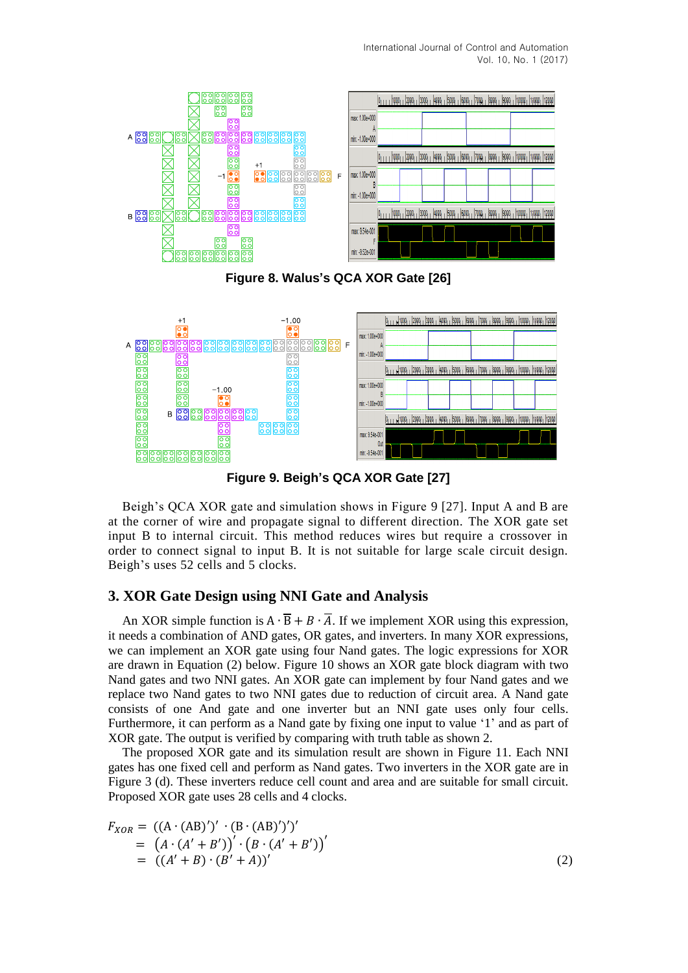

**Figure 8. Walus's QCA XOR Gate [26]**



**Figure 9. Beigh's QCA XOR Gate [27]**

Beigh"s QCA XOR gate and simulation shows in Figure 9 [27]. Input A and B are at the corner of wire and propagate signal to different direction. The XOR gate set input B to internal circuit. This method reduces wires but require a crossover in order to connect signal to input B. It is not suitable for large scale circuit design. Beigh's uses 52 cells and 5 clocks.

# **3. XOR Gate Design using NNI Gate and Analysis**

An XOR simple function is  $A \cdot \overline{B} + B \cdot \overline{A}$ . If we implement XOR using this expression, it needs a combination of AND gates, OR gates, and inverters. In many XOR expressions, we can implement an XOR gate using four Nand gates. The logic expressions for XOR are drawn in Equation (2) below. Figure 10 shows an XOR gate block diagram with two Nand gates and two NNI gates. An XOR gate can implement by four Nand gates and we replace two Nand gates to two NNI gates due to reduction of circuit area. A Nand gate consists of one And gate and one inverter but an NNI gate uses only four cells. Furthermore, it can perform as a Nand gate by fixing one input to value '1' and as part of XOR gate. The output is verified by comparing with truth table as shown 2.

The proposed XOR gate and its simulation result are shown in Figure 11. Each NNI gates has one fixed cell and perform as Nand gates. Two inverters in the XOR gate are in Figure 3 (d). These inverters reduce cell count and area and are suitable for small circuit. Proposed XOR gate uses 28 cells and 4 clocks.

$$
F_{XOR} = ((A \cdot (AB)')' \cdot (B \cdot (AB)')')'
$$
  
=  $(A \cdot (A' + B'))' \cdot (B \cdot (A' + B'))'$   
=  $((A' + B) \cdot (B' + A))'$  (2)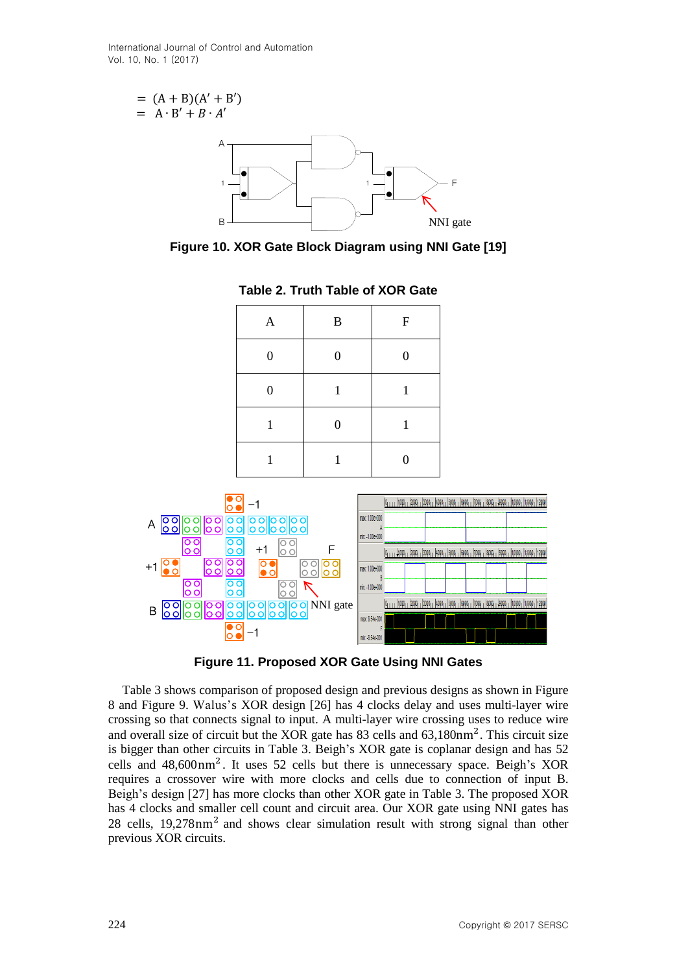$$
= (A + B)(A' + B')
$$
  
= A · B' + B · A'  
A  
A

**Figure 10. XOR Gate Block Diagram using NNI Gate [19]**

| $\mathbf{A}$     | $\, {\bf B}$     | ${\bf F}$        |
|------------------|------------------|------------------|
| $\boldsymbol{0}$ | $\boldsymbol{0}$ | $\boldsymbol{0}$ |
| $\overline{0}$   | $\mathbf{1}$     | 1                |
| 1                | $\boldsymbol{0}$ | 1                |
|                  | 1                | $\boldsymbol{0}$ |

**Table 2. Truth Table of XOR Gate**



**Figure 11. Proposed XOR Gate Using NNI Gates**

Table 3 shows comparison of proposed design and previous designs as shown in Figure 8 and Figure 9. Walus"s XOR design [26] has 4 clocks delay and uses multi-layer wire crossing so that connects signal to input. A multi-layer wire crossing uses to reduce wire and overall size of circuit but the XOR gate has  $83$  cells and  $63,180$ nm<sup>2</sup>. This circuit size is bigger than other circuits in Table 3. Beigh"s XOR gate is coplanar design and has 52 cells and  $48,600 \text{ nm}^2$ . It uses 52 cells but there is unnecessary space. Beigh's XOR requires a crossover wire with more clocks and cells due to connection of input B. Beigh"s design [27] has more clocks than other XOR gate in Table 3. The proposed XOR has 4 clocks and smaller cell count and circuit area. Our XOR gate using NNI gates has 28 cells, 19,278 nm<sup>2</sup> and shows clear simulation result with strong signal than other previous XOR circuits.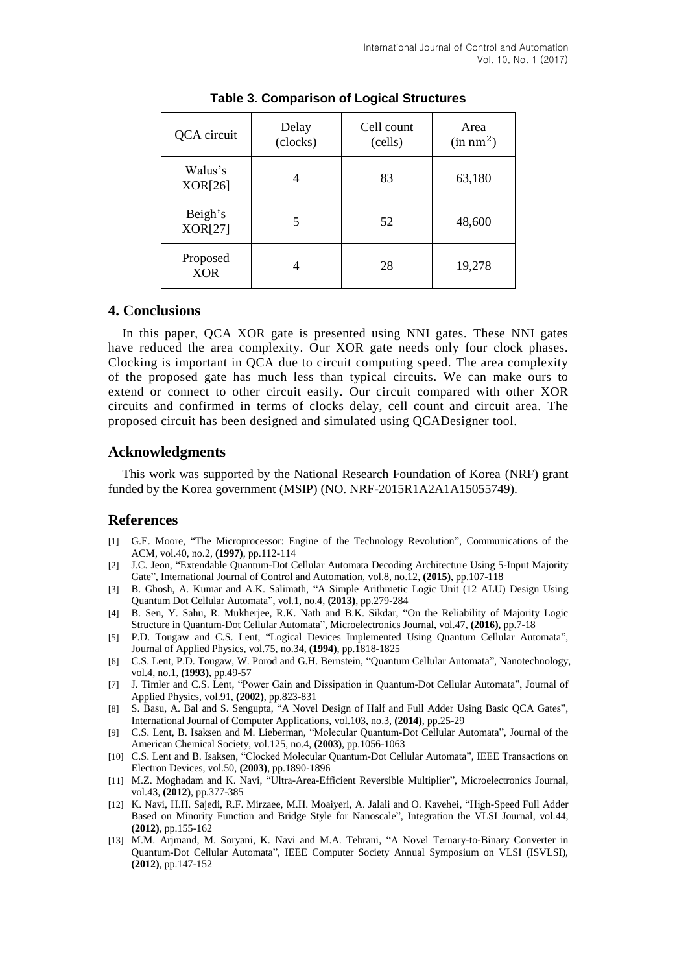| QCA circuit               | Delay<br>(clocks) | Cell count<br>(cells) | Area<br>(in nm <sup>2</sup> ) |
|---------------------------|-------------------|-----------------------|-------------------------------|
| Walus's<br>XOR[26]        |                   | 83                    | 63,180                        |
| Beigh's<br><b>XOR[27]</b> | 5                 | 52                    | 48,600                        |
| Proposed<br><b>XOR</b>    | 4                 | 28                    | 19,278                        |

**Table 3. Comparison of Logical Structures**

#### **4. Conclusions**

In this paper, QCA XOR gate is presented using NNI gates. These NNI gates have reduced the area complexity. Our XOR gate needs only four clock phases. Clocking is important in QCA due to circuit computing speed. The area complexity of the proposed gate has much less than typical circuits. We can make ours to extend or connect to other circuit easily. Our circuit compared with other XOR circuits and confirmed in terms of clocks delay, cell count and circuit area. The proposed circuit has been designed and simulated using QCADesigner tool.

# **Acknowledgments**

This work was supported by the National Research Foundation of Korea (NRF) grant funded by the Korea government (MSIP) (NO. NRF-2015R1A2A1A15055749).

# **References**

- [1] G.E. Moore, "The Microprocessor: Engine of the Technology Revolution", Communications of the ACM, vol.40, no.2, **(1997)**, pp.112-114
- [2] J.C. Jeon, "Extendable Quantum-Dot Cellular Automata Decoding Architecture Using 5-Input Majority Gate", International Journal of Control and Automation, vol.8, no.12, **(2015)**, pp.107-118
- [3] B. Ghosh, A. Kumar and A.K. Salimath, "A Simple Arithmetic Logic Unit (12 ALU) Design Using Quantum Dot Cellular Automata", vol.1, no.4, **(2013)**, pp.279-284
- [4] B. Sen, Y. Sahu, R. Mukherjee, R.K. Nath and B.K. Sikdar, "On the Reliability of Majority Logic Structure in Quantum-Dot Cellular Automata", Microelectronics Journal, vol.47, **(2016),** pp.7-18
- [5] P.D. Tougaw and C.S. Lent, "Logical Devices Implemented Using Quantum Cellular Automata", Journal of Applied Physics, vol.75, no.34, **(1994)**, pp.1818-1825
- [6] C.S. Lent, P.D. Tougaw, W. Porod and G.H. Bernstein, "Quantum Cellular Automata", Nanotechnology, vol.4, no.1, **(1993)**, pp.49-57
- [7] J. Timler and C.S. Lent, "Power Gain and Dissipation in Quantum-Dot Cellular Automata", Journal of Applied Physics, vol.91, **(2002)**, pp.823-831
- [8] S. Basu, A. Bal and S. Sengupta, "A Novel Design of Half and Full Adder Using Basic QCA Gates", International Journal of Computer Applications, vol.103, no.3, **(2014)**, pp.25-29
- [9] C.S. Lent, B. Isaksen and M. Lieberman, "Molecular Quantum-Dot Cellular Automata", Journal of the American Chemical Society, vol.125, no.4, **(2003)**, pp.1056-1063
- [10] C.S. Lent and B. Isaksen, "Clocked Molecular Quantum-Dot Cellular Automata", IEEE Transactions on Electron Devices, vol.50, **(2003)**, pp.1890-1896
- [11] M.Z. Moghadam and K. Navi, "Ultra-Area-Efficient Reversible Multiplier", Microelectronics Journal, vol.43, **(2012)**, pp.377-385
- [12] K. Navi, H.H. Sajedi, R.F. Mirzaee, M.H. Moaiyeri, A. Jalali and O. Kavehei, "High-Speed Full Adder Based on Minority Function and Bridge Style for Nanoscale", Integration the VLSI Journal, vol.44, **(2012)**, pp.155-162
- [13] M.M. Arjmand, M. Soryani, K. Navi and M.A. Tehrani, "A Novel Ternary-to-Binary Converter in Quantum-Dot Cellular Automata", IEEE Computer Society Annual Symposium on VLSI (ISVLSI), **(2012)**, pp.147-152